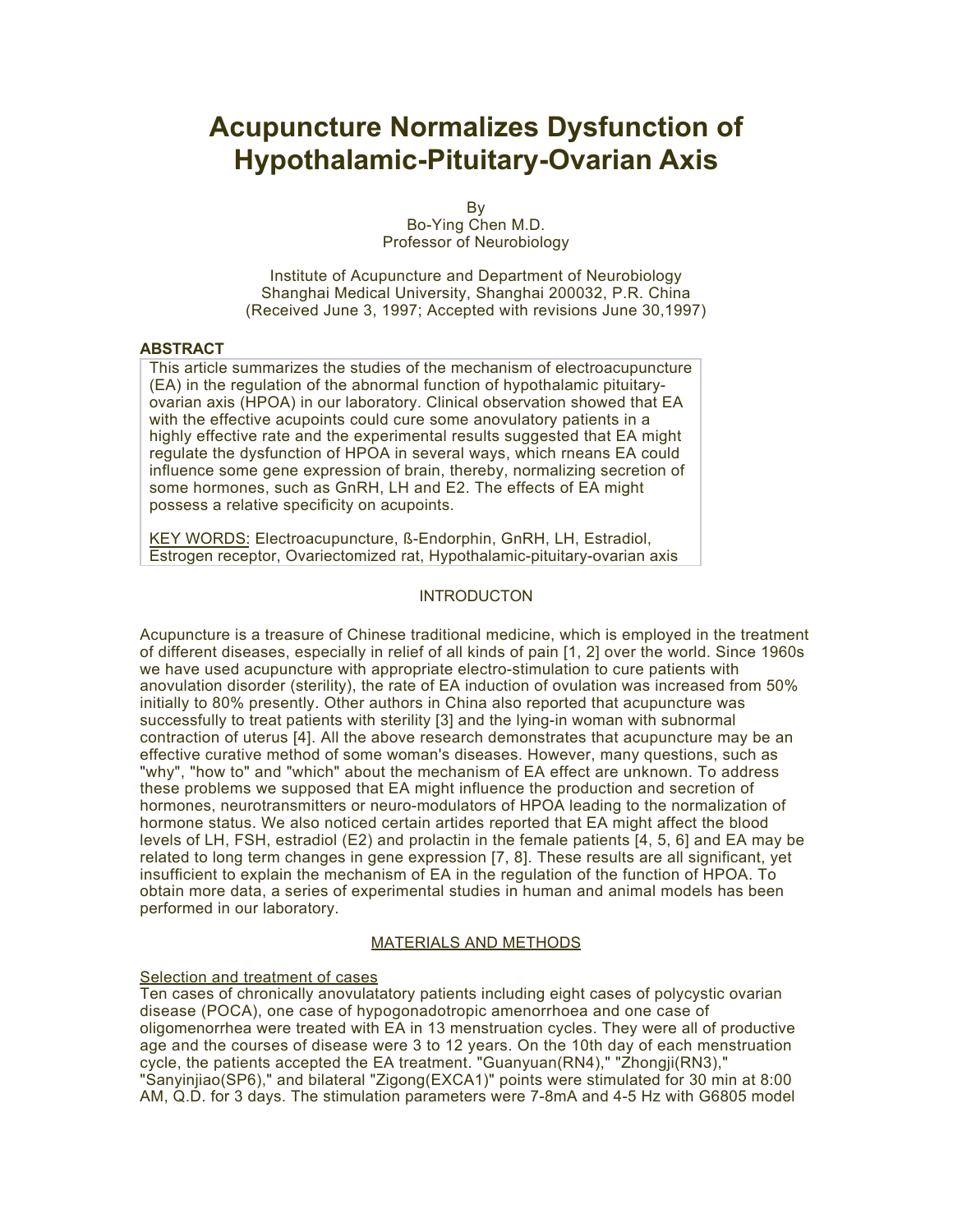# **Acupuncture Normalizes Dysfunction of Hypothalamic-Pituitary-Ovarian Axis**

By Bo-Ying Chen M.D. Professor of Neurobiology

Institute of Acupuncture and Department of Neurobiology Shanghai Medical University, Shanghai 200032, P.R. China (Received June 3, 1997; Accepted with revisions June 30,1997)

#### **ABSTRACT**

This article summarizes the studies of the mechanism of electroacupuncture (EA) in the regulation of the abnormal function of hypothalamic pituitaryovarian axis (HPOA) in our laboratory. Clinical observation showed that EA with the effective acupoints could cure some anovulatory patients in a highly effective rate and the experimental results suggested that EA might regulate the dysfunction of HPOA in several ways, which rneans EA could influence some gene expression of brain, thereby, normalizing secretion of some hormones, such as GnRH, LH and E2. The effects of EA might possess a relative specificity on acupoints.

KEY WORDS: Electroacupuncture, ß-Endorphin, GnRH, LH, Estradiol, Estrogen receptor, Ovariectomized rat, Hypothalamic-pituitary-ovarian axis

# **INTRODUCTON**

Acupuncture is a treasure of Chinese traditional medicine, which is employed in the treatment of different diseases, especially in relief of all kinds of pain [1, 2] over the world. Since 1960s we have used acupuncture with appropriate electro-stimulation to cure patients with anovulation disorder (sterility), the rate of EA induction of ovulation was increased from 50% initially to 80% presently. Other authors in China also reported that acupuncture was successfully to treat patients with sterility [3] and the lying-in woman with subnormal contraction of uterus [4]. All the above research demonstrates that acupuncture may be an effective curative method of some woman's diseases. However, many questions, such as "why", "how to" and "which" about the mechanism of EA effect are unknown. To address these problems we supposed that EA might influence the production and secretion of hormones, neurotransmitters or neuro-modulators of HPOA leading to the normalization of hormone status. We also noticed certain artides reported that EA might affect the blood levels of LH, FSH, estradiol (E2) and prolactin in the female patients [4, 5, 6] and EA may be related to long term changes in gene expression [7, 8]. These results are all significant, yet insufficient to explain the mechanism of EA in the regulation of the function of HPOA. To obtain more data, a series of experimental studies in human and animal models has been performed in our laboratory.

### MATERIALS AND METHODS

# Selection and treatment of cases

Ten cases of chronically anovulatatory patients including eight cases of polycystic ovarian disease (POCA), one case of hypogonadotropic amenorrhoea and one case of oligomenorrhea were treated with EA in 13 menstruation cycles. They were all of productive age and the courses of disease were 3 to 12 years. On the 10th day of each menstruation cycle, the patients accepted the EA treatment. "Guanyuan(RN4)," "Zhongji(RN3)," "Sanyinjiao(SP6)," and bilateral "Zigong(EXCA1)" points were stimulated for 30 min at 8:00 AM, Q.D. for 3 days. The stimulation parameters were 7-8mA and 4-5 Hz with G6805 model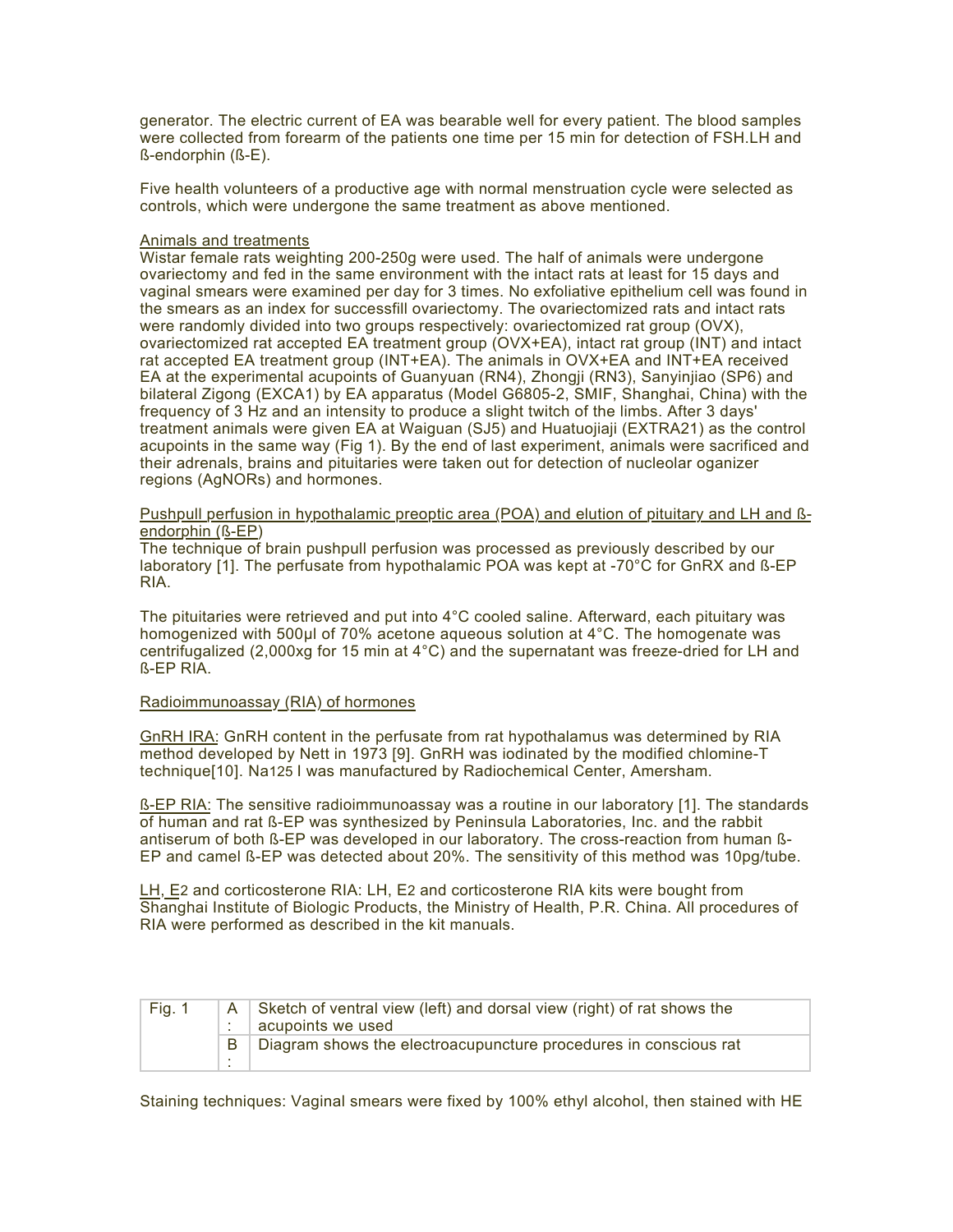generator. The electric current of EA was bearable well for every patient. The blood samples were collected from forearm of the patients one time per 15 min for detection of FSH.LH and ß-endorphin (ß-E).

Five health volunteers of a productive age with normal menstruation cycle were selected as controls, which were undergone the same treatment as above mentioned.

#### Animals and treatments

Wistar female rats weighting 200-250g were used. The half of animals were undergone ovariectomy and fed in the same environment with the intact rats at least for 15 days and vaginal smears were examined per day for 3 times. No exfoliative epithelium cell was found in the smears as an index for successfill ovariectomy. The ovariectomized rats and intact rats were randomly divided into two groups respectively: ovariectomized rat group (OVX), ovariectomized rat accepted EA treatment group (OVX+EA), intact rat group (INT) and intact rat accepted EA treatment group (INT+EA). The animals in OVX+EA and INT+EA received EA at the experimental acupoints of Guanyuan (RN4), Zhongji (RN3), Sanyinjiao (SP6) and bilateral Zigong (EXCA1) by EA apparatus (Model G6805-2, SMIF, Shanghai, China) with the frequency of 3 Hz and an intensity to produce a slight twitch of the limbs. After 3 days' treatment animals were given EA at Waiguan (SJ5) and Huatuojiaji (EXTRA21) as the control acupoints in the same way (Fig 1). By the end of last experiment, animals were sacrificed and their adrenals, brains and pituitaries were taken out for detection of nucleolar oganizer regions (AgNORs) and hormones.

#### Pushpull perfusion in hypothalamic preoptic area (POA) and elution of pituitary and LH and ßendorphin (ß-EP)

The technique of brain pushpull perfusion was processed as previously described by our laboratory [1]. The perfusate from hypothalamic POA was kept at -70°C for GnRX and ß-EP RIA.

The pituitaries were retrieved and put into 4°C cooled saline. Afterward, each pituitary was homogenized with 500µl of 70% acetone aqueous solution at 4°C. The homogenate was centrifugalized (2,000xg for 15 min at  $4^{\circ}$ C) and the supernatant was freeze-dried for LH and ß-EP RIA.

#### Radioimmunoassay (RIA) of hormones

GnRH IRA: GnRH content in the perfusate from rat hypothalamus was determined by RIA method developed by Nett in 1973 [9]. GnRH was iodinated by the modified chlomine-T technique[10]. Na125 I was manufactured by Radiochemical Center, Amersham.

ß-EP RIA: The sensitive radioimmunoassay was a routine in our laboratory [1]. The standards of human and rat ß-EP was synthesized by Peninsula Laboratories, Inc. and the rabbit antiserum of both ß-EP was developed in our laboratory. The cross-reaction from human ß-EP and camel ß-EP was detected about 20%. The sensitivity of this method was 10pg/tube.

LH, E2 and corticosterone RIA: LH, E2 and corticosterone RIA kits were bought from Shanghai Institute of Biologic Products, the Ministry of Health, P.R. China. All procedures of RIA were performed as described in the kit manuals.

| Fig. 1 | A      | Sketch of ventral view (left) and dorsal view (right) of rat shows the<br>acupoints we used |
|--------|--------|---------------------------------------------------------------------------------------------|
|        | $\sim$ | Diagram shows the electroacupuncture procedures in conscious rat                            |

Staining techniques: Vaginal smears were fixed by 100% ethyl alcohol, then stained with HE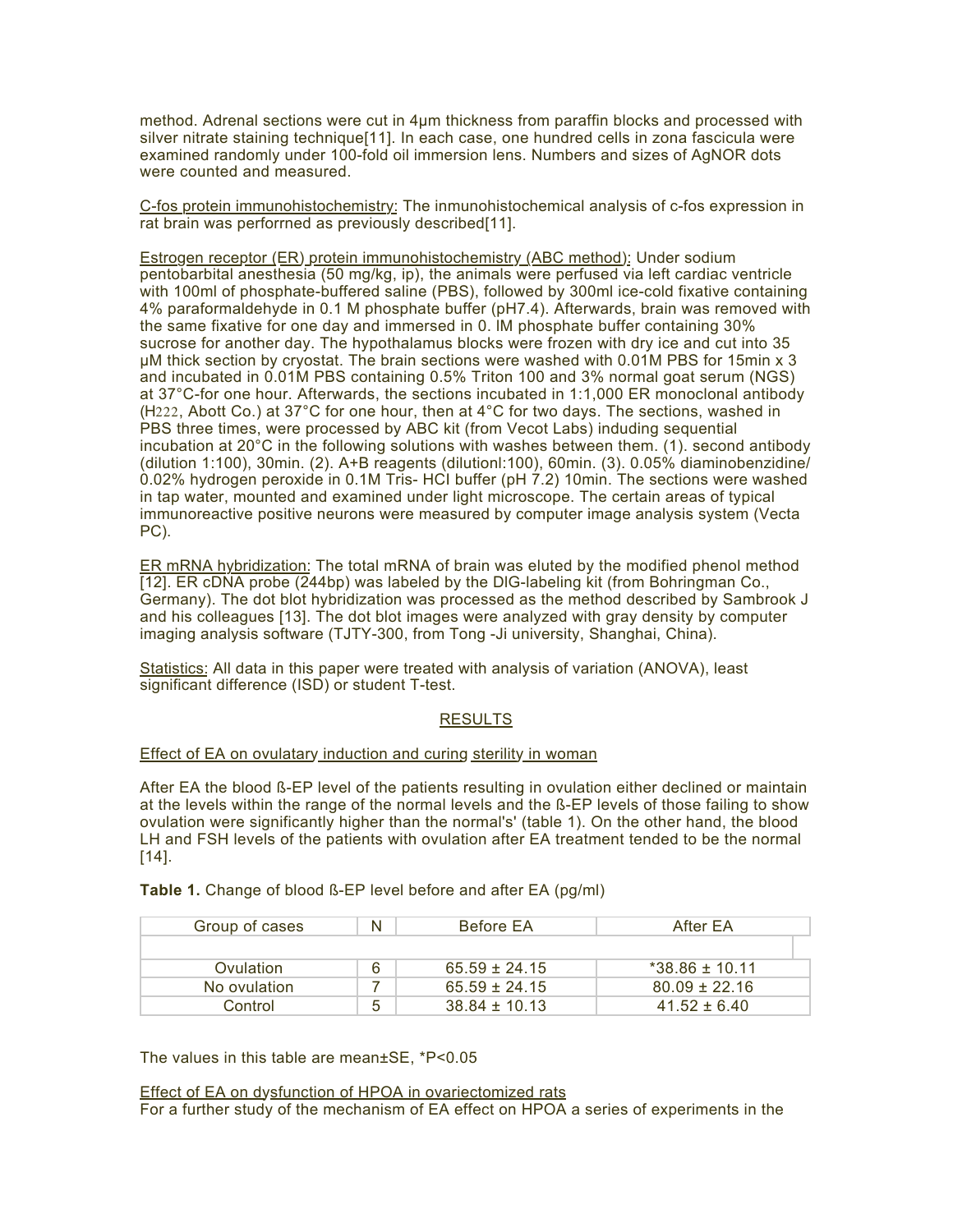method. Adrenal sections were cut in 4µm thickness from paraffin blocks and processed with silver nitrate staining technique[11]. In each case, one hundred cells in zona fascicula were examined randomly under 100-fold oil immersion lens. Numbers and sizes of AgNOR dots were counted and measured.

C-fos protein immunohistochemistry: The inmunohistochemical analysis of c-fos expression in rat brain was perforrned as previously described[11].

Estrogen receptor (ER) protein immunohistochemistry (ABC method): Under sodium pentobarbital anesthesia (50 mg/kg, ip), the animals were perfused via left cardiac ventricle with 100ml of phosphate-buffered saline (PBS), followed by 300ml ice-cold fixative containing 4% paraformaldehyde in 0.1 M phosphate buffer (pH7.4). Afterwards, brain was removed with the same fixative for one day and immersed in 0. lM phosphate buffer containing 30% sucrose for another day. The hypothalamus blocks were frozen with dry ice and cut into 35 µM thick section by cryostat. The brain sections were washed with 0.01M PBS for 15min x 3 and incubated in 0.01M PBS containing 0.5% Triton 100 and 3% normal goat serum (NGS) at 37°C-for one hour. Afterwards, the sections incubated in 1:1,000 ER monoclonal antibody (H222, Abott Co.) at 37°C for one hour, then at 4°C for two days. The sections, washed in PBS three times, were processed by ABC kit (from Vecot Labs) induding sequential incubation at 20°C in the following solutions with washes between them. (1). second antibody (dilution 1:100), 30min. (2). A+B reagents (dilutionl:100), 60min. (3). 0.05% diaminobenzidine/ 0.02% hydrogen peroxide in 0.1M Tris- HCI buffer (pH 7.2) 10min. The sections were washed in tap water, mounted and examined under light microscope. The certain areas of typical immunoreactive positive neurons were measured by computer image analysis system (Vecta PC).

ER mRNA hybridization: The total mRNA of brain was eluted by the modified phenol method [12]. ER cDNA probe (244bp) was labeled by the DlG-labeling kit (from Bohringman Co., Germany). The dot blot hybridization was processed as the method described by Sambrook J and his colleagues [13]. The dot blot images were analyzed with gray density by computer imaging analysis software (TJTY-300, from Tong -Ji university, Shanghai, China).

Statistics: All data in this paper were treated with analysis of variation (ANOVA), least significant difference (ISD) or student T-test.

# **RESULTS**

#### Effect of EA on ovulatary induction and curing sterility in woman

After EA the blood ß-EP level of the patients resulting in ovulation either declined or maintain at the levels within the range of the normal levels and the ß-EP levels of those failing to show ovulation were significantly higher than the normal's' (table 1). On the other hand, the blood LH and FSH levels of the patients with ovulation after EA treatment tended to be the normal  $[14]$ .

**Table 1.** Change of blood ß-EP level before and after EA (pg/ml)

| Group of cases | N | <b>Before EA</b>  | After EA           |
|----------------|---|-------------------|--------------------|
|                |   |                   |                    |
| Ovulation      | 6 | $65.59 \pm 24.15$ | $*38.86 \pm 10.11$ |
| No ovulation   |   | $65.59 \pm 24.15$ | $80.09 \pm 22.16$  |
| Control        | 5 | $38.84 \pm 10.13$ | $41.52 \pm 6.40$   |

The values in this table are mean±SE, \*P<0.05

Effect of EA on dysfunction of HPOA in ovariectomized rats

For a further study of the mechanism of EA effect on HPOA a series of experiments in the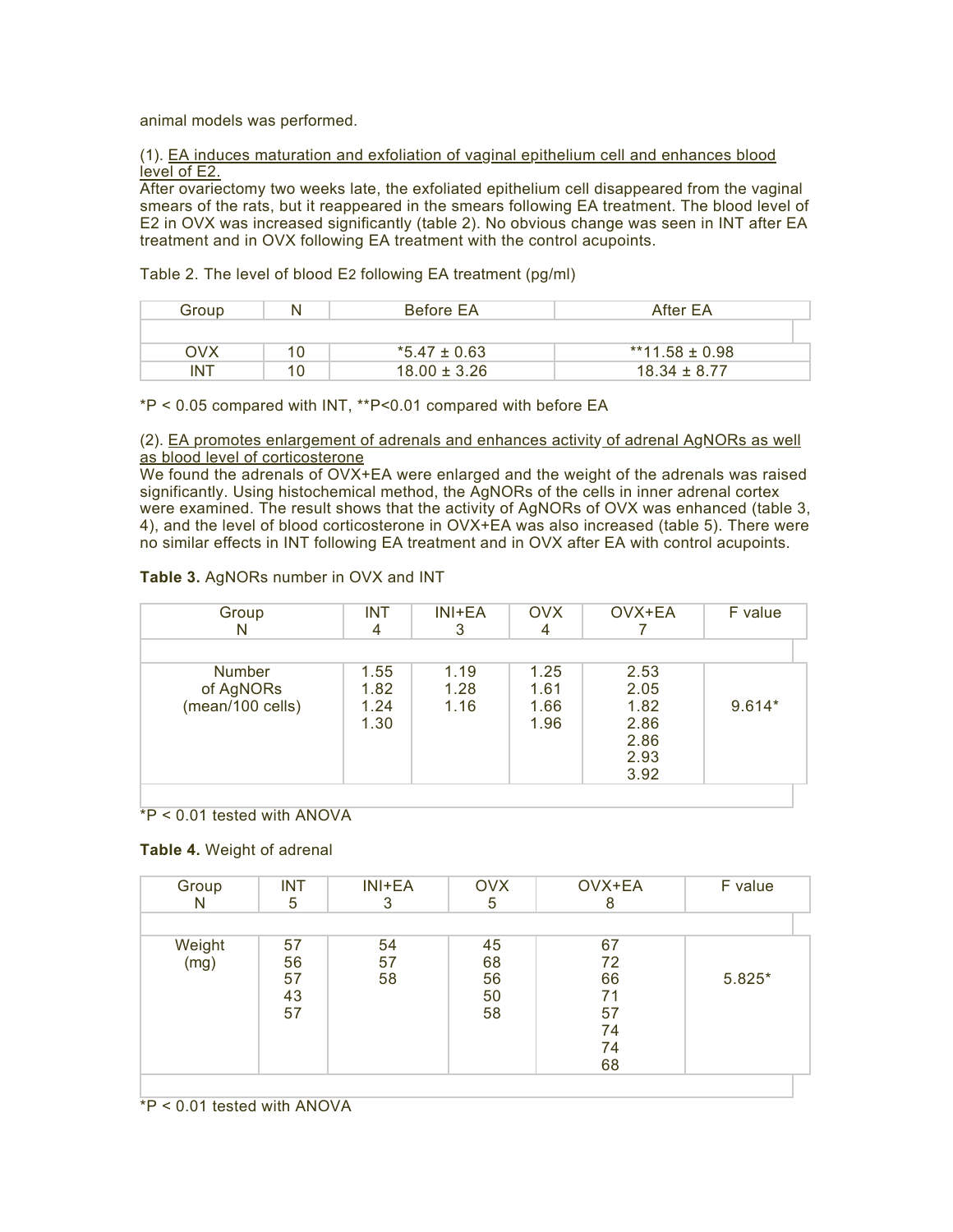animal models was performed.

(1). EA induces maturation and exfoliation of vaginal epithelium cell and enhances blood level of E2.

After ovariectomy two weeks late, the exfoliated epithelium cell disappeared from the vaginal smears of the rats, but it reappeared in the smears following EA treatment. The blood level of E2 in OVX was increased significantly (table 2). No obvious change was seen in INT after EA treatment and in OVX following EA treatment with the control acupoints.

Table 2. The level of blood E2 following EA treatment (pg/ml)

| Group      | N | Before EA        | After EA           |
|------------|---|------------------|--------------------|
|            |   |                  |                    |
| OVX        |   | *5.47 ± 0.63     | $**11.58 \pm 0.98$ |
| <b>INT</b> |   | $18.00 \pm 3.26$ | $18.34 \pm 8.77$   |

\*P < 0.05 compared with INT, \*\*P<0.01 compared with before EA

#### (2). EA promotes enlargement of adrenals and enhances activity of adrenal AgNORs as well as blood level of corticosterone

We found the adrenals of OVX+EA were enlarged and the weight of the adrenals was raised significantly. Using histochemical method, the AgNORs of the cells in inner adrenal cortex were examined. The result shows that the activity of AgNORs of OVX was enhanced (table 3, 4), and the level of blood corticosterone in OVX+EA was also increased (table 5). There were no similar effects in INT following EA treatment and in OVX after EA with control acupoints.

# **Table 3.** AgNORs number in OVX and INT

| Group<br>N                                     | <b>INT</b><br>4              | INI+EA<br>3          | <b>OVX</b><br>4              | OVX+EA                                               | F value  |
|------------------------------------------------|------------------------------|----------------------|------------------------------|------------------------------------------------------|----------|
| <b>Number</b><br>of AgNORs<br>(mean/100 cells) | 1.55<br>1.82<br>1.24<br>1.30 | 1.19<br>1.28<br>1.16 | 1.25<br>1.61<br>1.66<br>1.96 | 2.53<br>2.05<br>1.82<br>2.86<br>2.86<br>2.93<br>3.92 | $9.614*$ |

# \*P < 0.01 tested with ANOVA

#### **Table 4.** Weight of adrenal

| Group<br>N     | <b>INT</b><br>5            | $INI + EA$     | <b>OVX</b><br>5            | OVX+EA<br>8                                  | F value |
|----------------|----------------------------|----------------|----------------------------|----------------------------------------------|---------|
|                |                            |                |                            |                                              |         |
| Weight<br>(mg) | 57<br>56<br>57<br>43<br>57 | 54<br>57<br>58 | 45<br>68<br>56<br>50<br>58 | 67<br>72<br>66<br>71<br>57<br>74<br>74<br>68 | 5.825*  |

\*P < 0.01 tested with ANOVA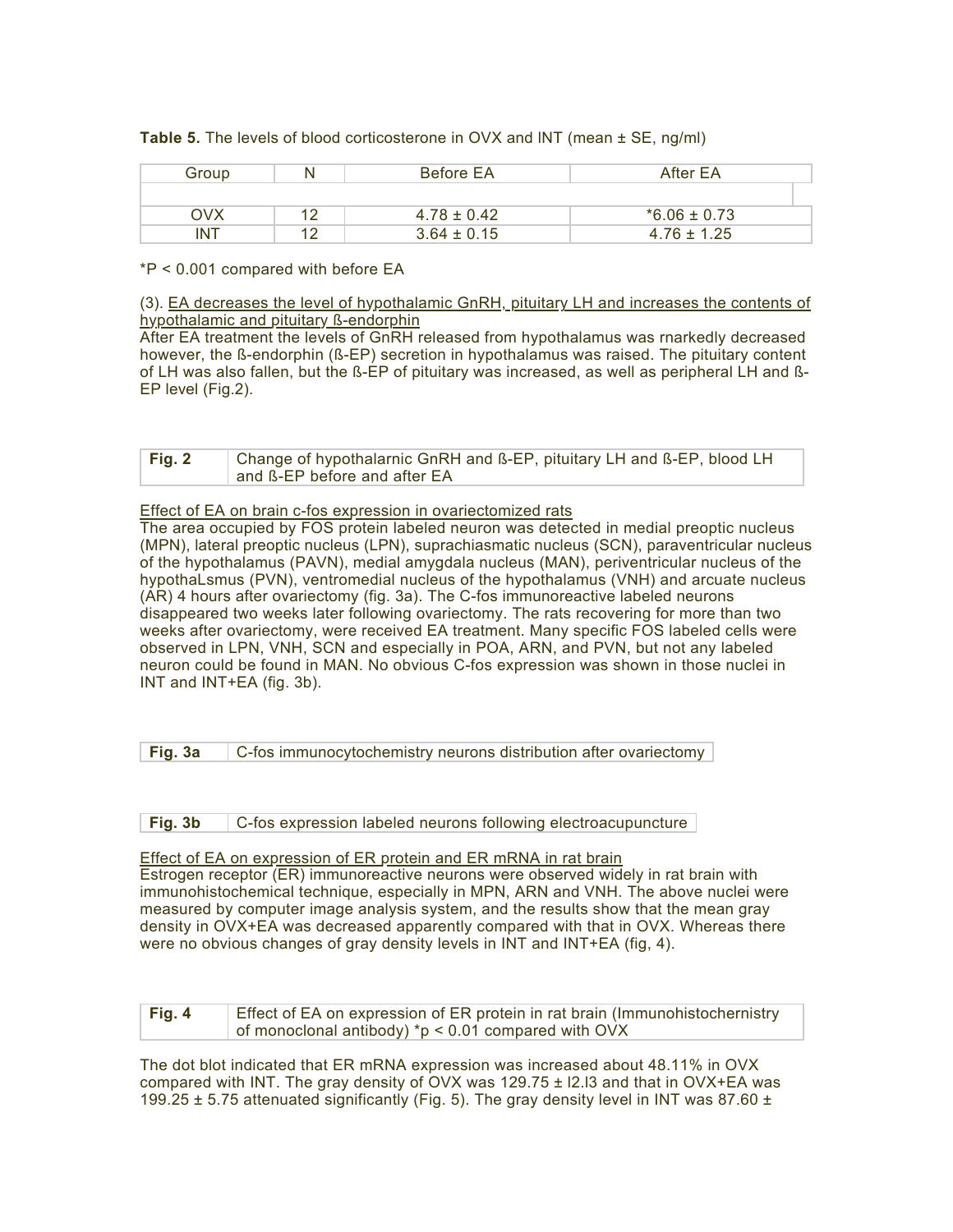**Table 5.** The levels of blood corticosterone in OVX and lNT (mean ± SE, ng/ml)

| Group      | N  | Before EA       | After EA         |
|------------|----|-----------------|------------------|
|            |    |                 |                  |
| OVX        | 10 | $4.78 \pm 0.42$ | $*6.06 \pm 0.73$ |
| <b>INT</b> | 12 | $3.64 \pm 0.15$ | $4.76 \pm 1.25$  |

\*P < 0.001 compared with before EA

(3). EA decreases the level of hypothalamic GnRH, pituitary LH and increases the contents of hypothalamic and pituitary ß-endorphin

After EA treatment the levels of GnRH released from hypothalamus was rnarkedly decreased however, the ß-endorphin (ß-EP) secretion in hypothalamus was raised. The pituitary content of LH was also fallen, but the ß-EP of pituitary was increased, as well as peripheral LH and ß-EP level (Fig.2).

| Fig. 2 | Change of hypothalarnic GnRH and B-EP, pituitary LH and B-EP, blood LH |  |
|--------|------------------------------------------------------------------------|--|
|        | and B-EP before and after EA                                           |  |

#### Effect of EA on brain c-fos expression in ovariectomized rats

The area occupied by FOS protein labeled neuron was detected in medial preoptic nucleus (MPN), lateral preoptic nucleus (LPN), suprachiasmatic nucleus (SCN), paraventricular nucleus of the hypothalamus (PAVN), medial amygdala nucleus (MAN), periventricular nucleus of the hypothaLsmus (PVN), ventromedial nucleus of the hypothalamus (VNH) and arcuate nucleus (AR) 4 hours after ovariectomy (fig. 3a). The C-fos immunoreactive labeled neurons disappeared two weeks later following ovariectomy. The rats recovering for more than two weeks after ovariectomy, were received EA treatment. Many specific FOS labeled cells were observed in LPN, VNH, SCN and especially in POA, ARN, and PVN, but not any labeled neuron could be found in MAN. No obvious C-fos expression was shown in those nuclei in INT and INT+EA (fig. 3b).

| Fig. 3a |  | C-fos immunocytochemistry neurons distribution after ovariectomy |  |
|---------|--|------------------------------------------------------------------|--|
|---------|--|------------------------------------------------------------------|--|

**Fig. 3b** C-fos expression labeled neurons following electroacupuncture

#### Effect of EA on expression of ER protein and ER mRNA in rat brain

Estrogen receptor (ER) immunoreactive neurons were observed widely in rat brain with immunohistochemical technique, especially in MPN, ARN and VNH. The above nuclei were measured by computer image analysis system, and the results show that the mean gray density in OVX+EA was decreased apparently compared with that in OVX. Whereas there were no obvious changes of gray density levels in INT and INT+EA (fig, 4).

| Fig. 4 | Effect of EA on expression of ER protein in rat brain (Immunohistochernistry |
|--------|------------------------------------------------------------------------------|
|        | of monoclonal antibody) *p < 0.01 compared with $Ovx$                        |

The dot blot indicated that ER mRNA expression was increased about 48.11% in OVX compared with INT. The gray density of OVX was 129.75 ± l2.l3 and that in OVX+EA was 199.25  $\pm$  5.75 attenuated significantly (Fig. 5). The gray density level in INT was 87.60  $\pm$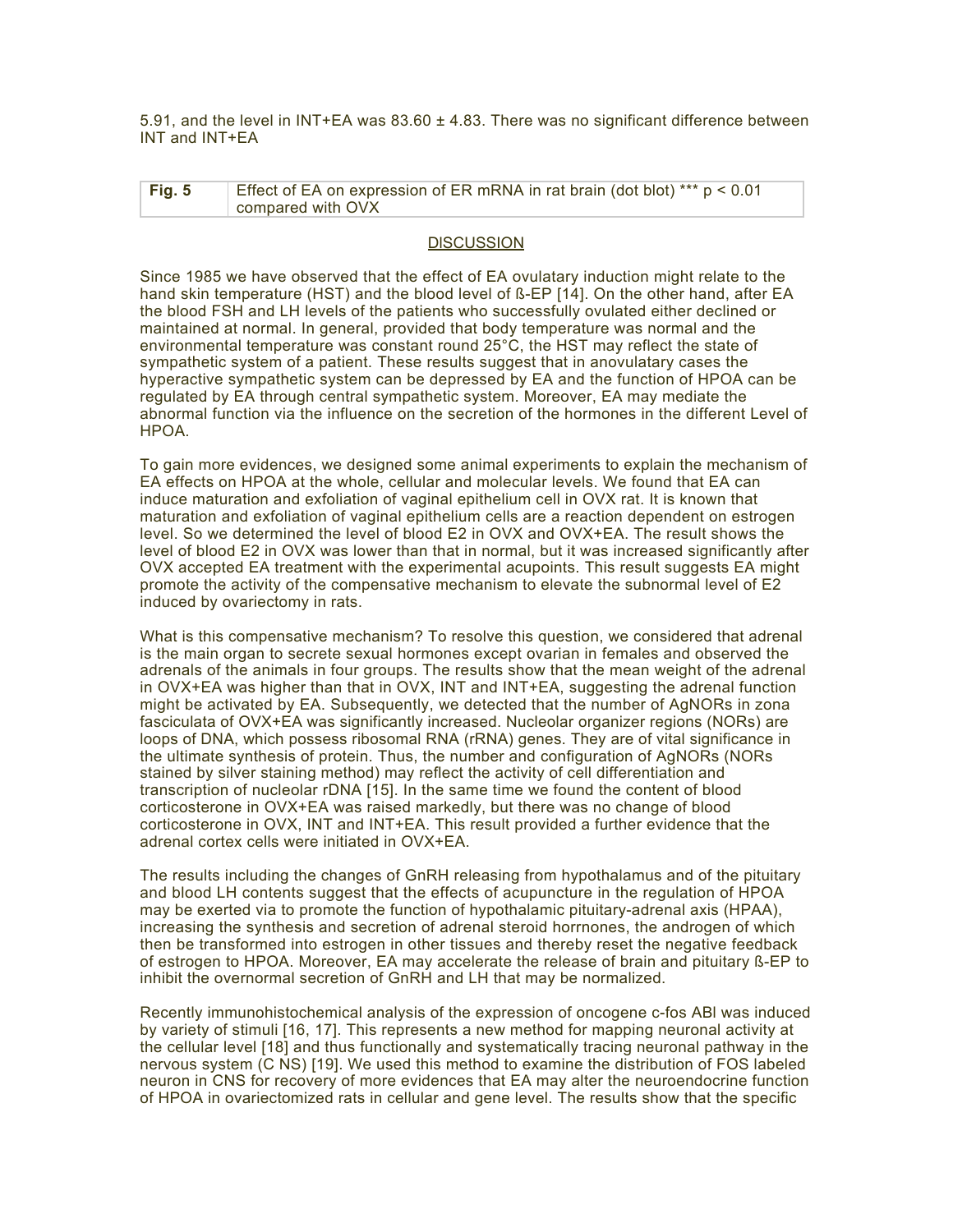5.91, and the level in INT+EA was  $83.60 \pm 4.83$ . There was no significant difference between INT and INT+EA

| Fig. 5 | Effect of EA on expression of ER mRNA in rat brain (dot blot) *** $p < 0.01$ |
|--------|------------------------------------------------------------------------------|
|        | compared with OVX                                                            |

#### **DISCUSSION**

Since 1985 we have observed that the effect of EA ovulatary induction might relate to the hand skin temperature (HST) and the blood level of ß-EP [14]. On the other hand, after EA the blood FSH and LH levels of the patients who successfully ovulated either declined or maintained at normal. In general, provided that body temperature was normal and the environmental temperature was constant round 25°C, the HST may reflect the state of sympathetic system of a patient. These results suggest that in anovulatary cases the hyperactive sympathetic system can be depressed by EA and the function of HPOA can be regulated by EA through central sympathetic system. Moreover, EA may mediate the abnormal function via the influence on the secretion of the hormones in the different Level of HPOA.

To gain more evidences, we designed some animal experiments to explain the mechanism of EA effects on HPOA at the whole, cellular and molecular levels. We found that EA can induce maturation and exfoliation of vaginal epithelium cell in OVX rat. It is known that maturation and exfoliation of vaginal epithelium cells are a reaction dependent on estrogen level. So we determined the level of blood E2 in OVX and OVX+EA. The result shows the level of blood E2 in OVX was lower than that in normal, but it was increased significantly after OVX accepted EA treatment with the experimental acupoints. This result suggests EA might promote the activity of the compensative mechanism to elevate the subnormal level of E2 induced by ovariectomy in rats.

What is this compensative mechanism? To resolve this question, we considered that adrenal is the main organ to secrete sexual hormones except ovarian in females and observed the adrenals of the animals in four groups. The results show that the mean weight of the adrenal in OVX+EA was higher than that in OVX, INT and INT+EA, suggesting the adrenal function might be activated by EA. Subsequently, we detected that the number of AgNORs in zona fasciculata of OVX+EA was significantly increased. Nucleolar organizer regions (NORs) are loops of DNA, which possess ribosomal RNA (rRNA) genes. They are of vital significance in the ultimate synthesis of protein. Thus, the number and configuration of AgNORs (NORs stained by silver staining method) may reflect the activity of cell differentiation and transcription of nucleolar rDNA [15]. In the same time we found the content of blood corticosterone in OVX+EA was raised markedly, but there was no change of blood corticosterone in OVX, INT and INT+EA. This result provided a further evidence that the adrenal cortex cells were initiated in OVX+EA.

The results including the changes of GnRH releasing from hypothalamus and of the pituitary and blood LH contents suggest that the effects of acupuncture in the regulation of HPOA may be exerted via to promote the function of hypothalamic pituitary-adrenal axis (HPAA), increasing the synthesis and secretion of adrenal steroid horrnones, the androgen of which then be transformed into estrogen in other tissues and thereby reset the negative feedback of estrogen to HPOA. Moreover, EA may accelerate the release of brain and pituitary ß-EP to inhibit the overnormal secretion of GnRH and LH that may be normalized.

Recently immunohistochemical analysis of the expression of oncogene c-fos ABl was induced by variety of stimuli [16, 17]. This represents a new method for mapping neuronal activity at the cellular level [18] and thus functionally and systematically tracing neuronal pathway in the nervous system (C NS) [19]. We used this method to examine the distribution of FOS labeled neuron in CNS for recovery of more evidences that EA may alter the neuroendocrine function of HPOA in ovariectomized rats in cellular and gene level. The results show that the specific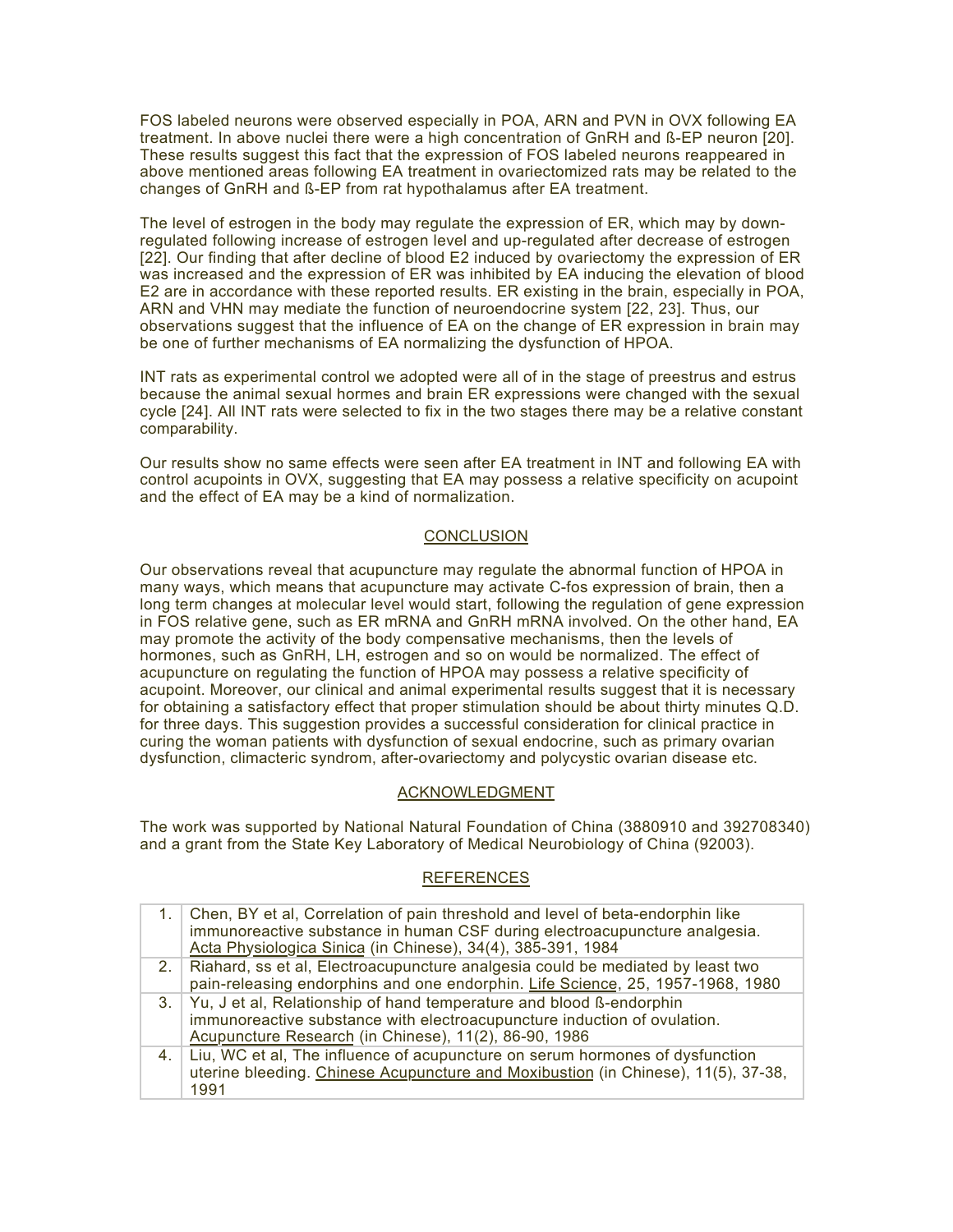FOS labeled neurons were observed especially in POA, ARN and PVN in OVX following EA treatment. In above nuclei there were a high concentration of GnRH and ß-EP neuron [20]. These results suggest this fact that the expression of FOS labeled neurons reappeared in above mentioned areas following EA treatment in ovariectomized rats may be related to the changes of GnRH and ß-EP from rat hypothalamus after EA treatment.

The level of estrogen in the body may regulate the expression of ER, which may by downregulated following increase of estrogen level and up-regulated after decrease of estrogen [22]. Our finding that after decline of blood E2 induced by ovariectomy the expression of ER was increased and the expression of ER was inhibited by EA inducing the elevation of blood E2 are in accordance with these reported results. ER existing in the brain, especially in POA, ARN and VHN may mediate the function of neuroendocrine system [22, 23]. Thus, our observations suggest that the influence of EA on the change of ER expression in brain may be one of further mechanisms of EA normalizing the dysfunction of HPOA.

INT rats as experimental control we adopted were all of in the stage of preestrus and estrus because the animal sexual hormes and brain ER expressions were changed with the sexual cycle [24]. All INT rats were selected to fix in the two stages there may be a relative constant comparability.

Our results show no same effects were seen after EA treatment in INT and following EA with control acupoints in OVX, suggesting that EA may possess a relative specificity on acupoint and the effect of EA may be a kind of normalization.

# **CONCLUSION**

Our observations reveal that acupuncture may regulate the abnormal function of HPOA in many ways, which means that acupuncture may activate C-fos expression of brain, then a long term changes at molecular level would start, following the regulation of gene expression in FOS relative gene, such as ER mRNA and GnRH mRNA involved. On the other hand, EA may promote the activity of the body compensative mechanisms, then the levels of hormones, such as GnRH, LH, estrogen and so on would be normalized. The effect of acupuncture on regulating the function of HPOA may possess a relative specificity of acupoint. Moreover, our clinical and animal experimental results suggest that it is necessary for obtaining a satisfactory effect that proper stimulation should be about thirty minutes Q.D. for three days. This suggestion provides a successful consideration for clinical practice in curing the woman patients with dysfunction of sexual endocrine, such as primary ovarian dysfunction, climacteric syndrom, after-ovariectomy and polycystic ovarian disease etc.

# ACKNOWLEDGMENT

The work was supported by National Natural Foundation of China (3880910 and 392708340) and a grant from the State Key Laboratory of Medical Neurobiology of China (92003).

# **REFERENCES**

|    | 1. Chen, BY et al, Correlation of pain threshold and level of beta-endorphin like<br>immunoreactive substance in human CSF during electroacupuncture analgesia.<br>Acta Physiologica Sinica (in Chinese), 34(4), 385-391, 1984 |
|----|--------------------------------------------------------------------------------------------------------------------------------------------------------------------------------------------------------------------------------|
|    | 2. Riahard, ss et al, Electroacupuncture analgesia could be mediated by least two<br>pain-releasing endorphins and one endorphin. Life Science, 25, 1957-1968, 1980                                                            |
|    | 3. Yu, J et al, Relationship of hand temperature and blood ß-endorphin<br>immunoreactive substance with electroacupuncture induction of ovulation.<br>Acupuncture Research (in Chinese), 11(2), 86-90, 1986                    |
| 4. | Liu, WC et al, The influence of acupuncture on serum hormones of dysfunction<br>uterine bleeding. Chinese Acupuncture and Moxibustion (in Chinese), 11(5), 37-38,<br>1991                                                      |